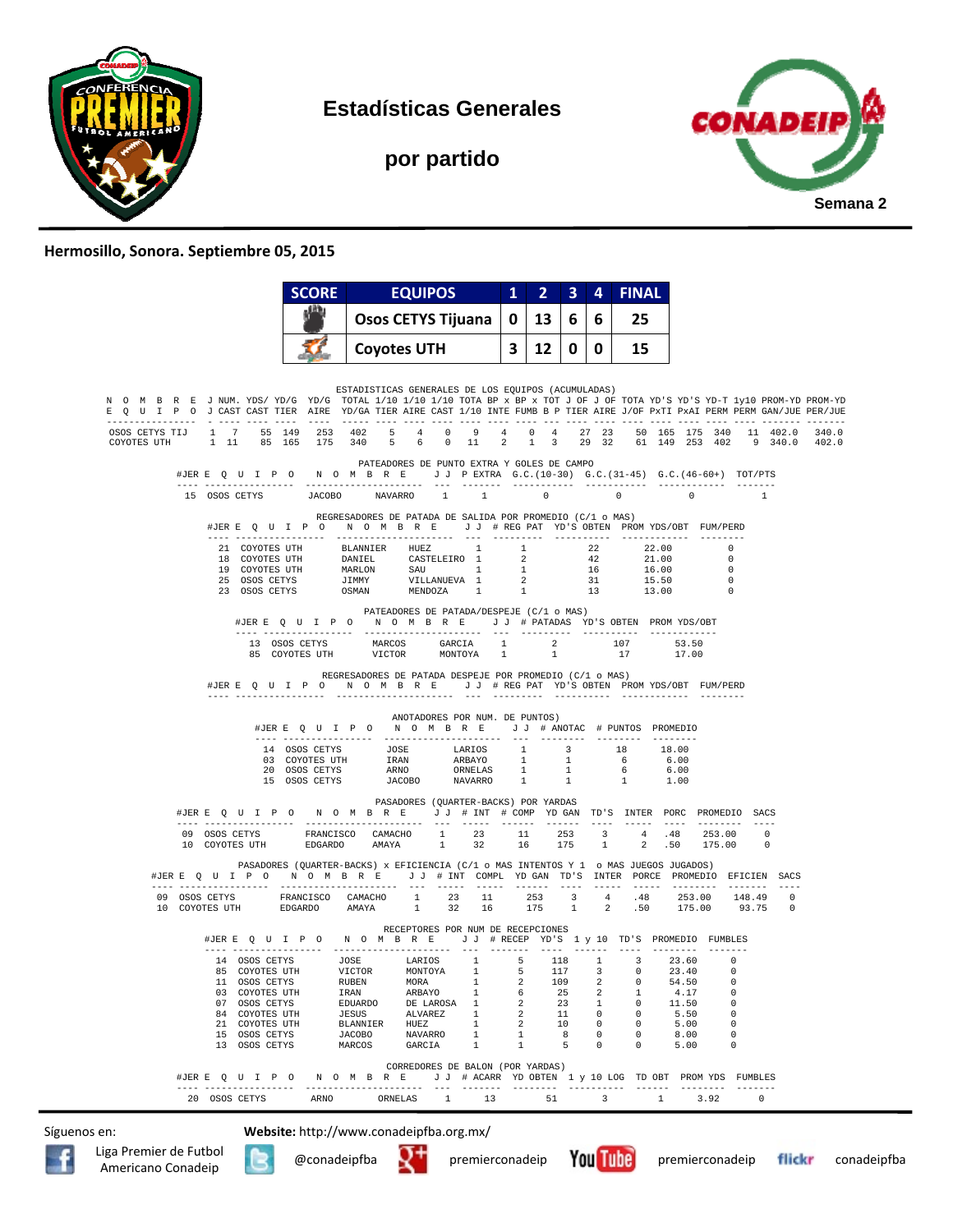

**Estadísticas Generales** 

**CONADE! Semana 2**

## **por partido**

## **Hermosillo, Sonora. Septiembre 05, 2015**

| <b>Osos CETYS Tijuana</b><br>13<br>25<br>0<br>6<br>6<br><b>Coyotes UTH</b><br>12 <sub>1</sub><br>3<br>0<br>15<br>10 I<br>ESTADISTICAS GENERALES DE LOS EQUIPOS (ACUMULADAS)<br>N O M B R E J NUM. YDS/YD/G YD/G TOTAL 1/10 1/10 1/10 TOTA BP x BP x TOT J OF J OF TOTA YD'S YD-T 1y10 PROM-YD PROM-YD<br>E Q U I P O J CAST CAST TIER AIRE YD/GA TIER AIRE CAST 1/10 INTE FUMB B P TIER AIRE J/OF PXTI PXAI PERM PERM GAN/JUE PER/JUE<br>OSOS CETYS TIJ 1 7 55 149 253 402 5 4 0 9 4 0 4 27 23 50 165 175 340 11 402.0 340.0<br>COYOTES UTH 1 11 85 165 175 340 5 6 0 11<br>$2 \quad 1 \quad 3$<br>29 32 61 149 253 402 9 340.0 402.0<br>PATEADORES DE PUNTO EXTRA Y GOLES DE CAMPO<br>#JERE Q U I P O N O M B R E J J PEXTRA G.C. (10-30) G.C. (31-45) G.C. (46-60+) TOT/PTS<br>15 OSOS CETYS JACOBO NAVARRO<br>$1 \quad 1 \quad 0$<br>$\sim$ 0<br>$\overline{0}$<br>$\overline{1}$<br>REGRESADORES DE PATADA DE SALIDA POR PROMEDIO (C/1 o MAS)<br>#JERE Q U I P O N O M B R E J J # REG PAT YD'S OBTEN PROMYDS/OBT FUM/PERD<br>21 COYOTES UTH BLANNIER HUEZ 1<br>1 22<br>22.00<br>$\Omega$<br>$\begin{tabular}{cccccccc} 18 & \texttt{COYOTES} & \texttt{UTH} & \texttt{DANIEL} & \texttt{CASELEIRO} & 1 & 2 & 42 & 21.00 \\ 19 & \texttt{COYOTES} & \texttt{UTH} & \texttt{MARLON} & \texttt{SAU} & 1 & 1 & 16 & 16.00 \\ 20 & \texttt{OSOS} & \texttt{CETYS} & \texttt{JAMMN} & \texttt{WILLANUEVA} & 1 & 2 & 31 & 15.50 \\ 23 & \texttt{OSOS} & \texttt{CETYS} & \texttt{JSMMN} & \texttt{MENDOZA$<br>$\Omega$<br>$^{\circ}$<br>$\overline{0}$<br>$\Omega$<br>PATEADORES DE PATADA/DESPEJE (C/1 o MAS)<br>#JERE QUIPO NOMBRE JJ # PATADAS YD'S OBTEN PROMYDS/OBT<br>13 OSOS CETYS<br>$\begin{tabular}{lllllllllll} 13 & \texttt{OSOS} & \texttt{CETYS} & \texttt{MARCOS} & \texttt{GARCH} & 1 & 2 \\ 85 & \texttt{COYOTES} & \texttt{UTH} & \texttt{VICTOR} & \texttt{MONTOYA} & 1 & 1 \\ \end{tabular}$<br>107<br>53.50<br>$17$ $17.00$<br>REGRESADORES DE PATADA DESPEJE POR PROMEDIO (C/1 o MAS)<br>#JERE Q U I P O N O M B R E J J # REG PAT YD'S OBTEN PROMYDS/OBT FUM/PERD<br>ANOTADORES POR NUM. DE PUNTOS)<br>#JERE Q U I P O N O M B R E J J # ANOTAC # PUNTOS PROMEDIO<br>PASADORES (QUARTER-BACKS) POR YARDAS<br>#JERE QUIPONOMBRE JJ # INT # COMPYDGAN TD'S INTER PORC PROMEDIO SACS<br>$\begin{tabular}{cccccccc} 09 & OSOS \texttt{CETYS} & & & \texttt{FRANCISCO} & & \texttt{CAMACHO} & 1 & 23 & 11 & 253 & 3 & 4 & .48 & 253.00 & 0 \\ 10 & \texttt{COYOTES UTH} & & \texttt{EDGARDO} & & \texttt{AMAYA} & & 1 & 32 & 16 & 175 & 1 & 2 & .50 & 175.00 & 0 \\ \end{tabular}$<br>PASADORES (QUARTER-BACKS) x EFICIENCIA (C/1 o MAS INTENTOS Y 1 o MAS JUEGOS JUGADOS)<br>#JERE Q U I P O N O M B R E J J # INT COMPL YD GAN TD'S INTER PORCE PROMEDIO EFICIEN SACS<br>RECEPTORES POR NUM DE RECEPCIONES<br>#JER E Q U I P O N O M B R E J J # RECEP YD'S 1 y 10 TD'S PROMEDIO FUMBLES<br>$\begin{tabular}{cccccccccc} 14 & OSOS CETYS & & JOSE & & LARTOS & & 1 & & 5 & & 118 & & 1 & & 3 \\ 85 & COYOTES UTH & & VICTOR & & MONTOYA & & 1 & & 5 & & 117 & & 3 & & 0 \\ \end{tabular}$<br>23.60<br>$\Omega$<br>23.40<br>$\Omega$<br>109<br>54.50<br>RUBEN<br>MORA<br>11 OSOS CETYS<br>03 COYOTES UTH<br>IRAN<br>ARBAYO<br>25<br>2<br>4.17<br>0<br>1<br>6<br>1<br>07 OSOS CETYS<br>EDUARDO<br>DE LAROSA<br>23<br>11.50<br>$\Omega$<br>$\mathbf{1}$<br>2<br>-1<br>$\Omega$<br>84 COYOTES UTH<br><b>JESUS</b><br>ALVAREZ<br>11<br>$\mathbf{0}$<br>5.50<br>$\mathbf{1}$<br>$\overline{2}$<br>$\Omega$<br>$\Omega$<br>10<br>21 COYOTES UTH<br>HUEZ<br>$\Omega$<br>5.00<br>$\Omega$<br>BLANNIER<br>$\mathbf{1}$<br>$\overline{2}$<br>$\Omega$<br>$\mathbf{1}$<br>8<br>8.00<br>0<br>15<br>OSOS CETYS<br><b>JACOBO</b><br>NAVARRO<br>1<br>0<br>0<br>13 OSOS CETYS<br>GARCIA<br>5.00<br>0<br>MARCOS<br>1<br>$\mathbf{1}$<br>5<br>$\Omega$<br>$\Omega$<br>CORREDORES DE BALON (POR YARDAS)<br>J J # ACARR YD OBTEN 1 y 10 LOG TD OBT PROM YDS FUMBLES<br>#JERE Q U I P O<br>N O M B R E<br>-------<br>---------<br>3.92<br>$\mathbf 0$<br>20 OSOS CETYS<br>ARNO<br>ORNELAS<br>$\mathbf{1}$<br>13<br>51<br>3<br>$\mathbf{1}$ | <b>SCORE</b> | <b>EQUIPOS</b> |  | $\overline{2}$<br>1 | 3 | 4 | <b>FINAL</b> |  |  |
|----------------------------------------------------------------------------------------------------------------------------------------------------------------------------------------------------------------------------------------------------------------------------------------------------------------------------------------------------------------------------------------------------------------------------------------------------------------------------------------------------------------------------------------------------------------------------------------------------------------------------------------------------------------------------------------------------------------------------------------------------------------------------------------------------------------------------------------------------------------------------------------------------------------------------------------------------------------------------------------------------------------------------------------------------------------------------------------------------------------------------------------------------------------------------------------------------------------------------------------------------------------------------------------------------------------------------------------------------------------------------------------------------------------------------------------------------------------------------------------------------------------------------------------------------------------------------------------------------------------------------------------------------------------------------------------------------------------------------------------------------------------------------------------------------------------------------------------------------------------------------------------------------------------------------------------------------------------------------------------------------------------------------------------------------------------------------------------------------------------------------------------------------------------------------------------------------------------------------------------------------------------------------------------------------------------------------------------------------------------------------------------------------------------------------------------------------------------------------------------------------------------------------------------------------------------------------------------------------------------------------------------------------------------------------------------------------------------------------------------------------------------------------------------------------------------------------------------------------------------------------------------------------------------------------------------------------------------------------------------------------------------------------------------------------------------------------------------------------------------------------------------------------------------------------------------------------------------------------------------------------------------------------------------------------------------------------------------------------------------------------------------------------------------------------------------------------------------------------------------------------------------------------------------------------------------------------------------------------------------------------------------------------------------------------------------------------------------------------------------------------------------------------------------------------------------------------------------------------------------------------------------------------------------------------------------------------------------------------------------------------------------------------------------------------------------------------------------------------------------------------------------|--------------|----------------|--|---------------------|---|---|--------------|--|--|
|                                                                                                                                                                                                                                                                                                                                                                                                                                                                                                                                                                                                                                                                                                                                                                                                                                                                                                                                                                                                                                                                                                                                                                                                                                                                                                                                                                                                                                                                                                                                                                                                                                                                                                                                                                                                                                                                                                                                                                                                                                                                                                                                                                                                                                                                                                                                                                                                                                                                                                                                                                                                                                                                                                                                                                                                                                                                                                                                                                                                                                                                                                                                                                                                                                                                                                                                                                                                                                                                                                                                                                                                                                                                                                                                                                                                                                                                                                                                                                                                                                                                                                                                        |              |                |  |                     |   |   |              |  |  |
|                                                                                                                                                                                                                                                                                                                                                                                                                                                                                                                                                                                                                                                                                                                                                                                                                                                                                                                                                                                                                                                                                                                                                                                                                                                                                                                                                                                                                                                                                                                                                                                                                                                                                                                                                                                                                                                                                                                                                                                                                                                                                                                                                                                                                                                                                                                                                                                                                                                                                                                                                                                                                                                                                                                                                                                                                                                                                                                                                                                                                                                                                                                                                                                                                                                                                                                                                                                                                                                                                                                                                                                                                                                                                                                                                                                                                                                                                                                                                                                                                                                                                                                                        |              |                |  |                     |   |   |              |  |  |
|                                                                                                                                                                                                                                                                                                                                                                                                                                                                                                                                                                                                                                                                                                                                                                                                                                                                                                                                                                                                                                                                                                                                                                                                                                                                                                                                                                                                                                                                                                                                                                                                                                                                                                                                                                                                                                                                                                                                                                                                                                                                                                                                                                                                                                                                                                                                                                                                                                                                                                                                                                                                                                                                                                                                                                                                                                                                                                                                                                                                                                                                                                                                                                                                                                                                                                                                                                                                                                                                                                                                                                                                                                                                                                                                                                                                                                                                                                                                                                                                                                                                                                                                        |              |                |  |                     |   |   |              |  |  |
|                                                                                                                                                                                                                                                                                                                                                                                                                                                                                                                                                                                                                                                                                                                                                                                                                                                                                                                                                                                                                                                                                                                                                                                                                                                                                                                                                                                                                                                                                                                                                                                                                                                                                                                                                                                                                                                                                                                                                                                                                                                                                                                                                                                                                                                                                                                                                                                                                                                                                                                                                                                                                                                                                                                                                                                                                                                                                                                                                                                                                                                                                                                                                                                                                                                                                                                                                                                                                                                                                                                                                                                                                                                                                                                                                                                                                                                                                                                                                                                                                                                                                                                                        |              |                |  |                     |   |   |              |  |  |
|                                                                                                                                                                                                                                                                                                                                                                                                                                                                                                                                                                                                                                                                                                                                                                                                                                                                                                                                                                                                                                                                                                                                                                                                                                                                                                                                                                                                                                                                                                                                                                                                                                                                                                                                                                                                                                                                                                                                                                                                                                                                                                                                                                                                                                                                                                                                                                                                                                                                                                                                                                                                                                                                                                                                                                                                                                                                                                                                                                                                                                                                                                                                                                                                                                                                                                                                                                                                                                                                                                                                                                                                                                                                                                                                                                                                                                                                                                                                                                                                                                                                                                                                        |              |                |  |                     |   |   |              |  |  |
|                                                                                                                                                                                                                                                                                                                                                                                                                                                                                                                                                                                                                                                                                                                                                                                                                                                                                                                                                                                                                                                                                                                                                                                                                                                                                                                                                                                                                                                                                                                                                                                                                                                                                                                                                                                                                                                                                                                                                                                                                                                                                                                                                                                                                                                                                                                                                                                                                                                                                                                                                                                                                                                                                                                                                                                                                                                                                                                                                                                                                                                                                                                                                                                                                                                                                                                                                                                                                                                                                                                                                                                                                                                                                                                                                                                                                                                                                                                                                                                                                                                                                                                                        |              |                |  |                     |   |   |              |  |  |
|                                                                                                                                                                                                                                                                                                                                                                                                                                                                                                                                                                                                                                                                                                                                                                                                                                                                                                                                                                                                                                                                                                                                                                                                                                                                                                                                                                                                                                                                                                                                                                                                                                                                                                                                                                                                                                                                                                                                                                                                                                                                                                                                                                                                                                                                                                                                                                                                                                                                                                                                                                                                                                                                                                                                                                                                                                                                                                                                                                                                                                                                                                                                                                                                                                                                                                                                                                                                                                                                                                                                                                                                                                                                                                                                                                                                                                                                                                                                                                                                                                                                                                                                        |              |                |  |                     |   |   |              |  |  |
|                                                                                                                                                                                                                                                                                                                                                                                                                                                                                                                                                                                                                                                                                                                                                                                                                                                                                                                                                                                                                                                                                                                                                                                                                                                                                                                                                                                                                                                                                                                                                                                                                                                                                                                                                                                                                                                                                                                                                                                                                                                                                                                                                                                                                                                                                                                                                                                                                                                                                                                                                                                                                                                                                                                                                                                                                                                                                                                                                                                                                                                                                                                                                                                                                                                                                                                                                                                                                                                                                                                                                                                                                                                                                                                                                                                                                                                                                                                                                                                                                                                                                                                                        |              |                |  |                     |   |   |              |  |  |
|                                                                                                                                                                                                                                                                                                                                                                                                                                                                                                                                                                                                                                                                                                                                                                                                                                                                                                                                                                                                                                                                                                                                                                                                                                                                                                                                                                                                                                                                                                                                                                                                                                                                                                                                                                                                                                                                                                                                                                                                                                                                                                                                                                                                                                                                                                                                                                                                                                                                                                                                                                                                                                                                                                                                                                                                                                                                                                                                                                                                                                                                                                                                                                                                                                                                                                                                                                                                                                                                                                                                                                                                                                                                                                                                                                                                                                                                                                                                                                                                                                                                                                                                        |              |                |  |                     |   |   |              |  |  |
|                                                                                                                                                                                                                                                                                                                                                                                                                                                                                                                                                                                                                                                                                                                                                                                                                                                                                                                                                                                                                                                                                                                                                                                                                                                                                                                                                                                                                                                                                                                                                                                                                                                                                                                                                                                                                                                                                                                                                                                                                                                                                                                                                                                                                                                                                                                                                                                                                                                                                                                                                                                                                                                                                                                                                                                                                                                                                                                                                                                                                                                                                                                                                                                                                                                                                                                                                                                                                                                                                                                                                                                                                                                                                                                                                                                                                                                                                                                                                                                                                                                                                                                                        |              |                |  |                     |   |   |              |  |  |
|                                                                                                                                                                                                                                                                                                                                                                                                                                                                                                                                                                                                                                                                                                                                                                                                                                                                                                                                                                                                                                                                                                                                                                                                                                                                                                                                                                                                                                                                                                                                                                                                                                                                                                                                                                                                                                                                                                                                                                                                                                                                                                                                                                                                                                                                                                                                                                                                                                                                                                                                                                                                                                                                                                                                                                                                                                                                                                                                                                                                                                                                                                                                                                                                                                                                                                                                                                                                                                                                                                                                                                                                                                                                                                                                                                                                                                                                                                                                                                                                                                                                                                                                        |              |                |  |                     |   |   |              |  |  |
|                                                                                                                                                                                                                                                                                                                                                                                                                                                                                                                                                                                                                                                                                                                                                                                                                                                                                                                                                                                                                                                                                                                                                                                                                                                                                                                                                                                                                                                                                                                                                                                                                                                                                                                                                                                                                                                                                                                                                                                                                                                                                                                                                                                                                                                                                                                                                                                                                                                                                                                                                                                                                                                                                                                                                                                                                                                                                                                                                                                                                                                                                                                                                                                                                                                                                                                                                                                                                                                                                                                                                                                                                                                                                                                                                                                                                                                                                                                                                                                                                                                                                                                                        |              |                |  |                     |   |   |              |  |  |
|                                                                                                                                                                                                                                                                                                                                                                                                                                                                                                                                                                                                                                                                                                                                                                                                                                                                                                                                                                                                                                                                                                                                                                                                                                                                                                                                                                                                                                                                                                                                                                                                                                                                                                                                                                                                                                                                                                                                                                                                                                                                                                                                                                                                                                                                                                                                                                                                                                                                                                                                                                                                                                                                                                                                                                                                                                                                                                                                                                                                                                                                                                                                                                                                                                                                                                                                                                                                                                                                                                                                                                                                                                                                                                                                                                                                                                                                                                                                                                                                                                                                                                                                        |              |                |  |                     |   |   |              |  |  |
|                                                                                                                                                                                                                                                                                                                                                                                                                                                                                                                                                                                                                                                                                                                                                                                                                                                                                                                                                                                                                                                                                                                                                                                                                                                                                                                                                                                                                                                                                                                                                                                                                                                                                                                                                                                                                                                                                                                                                                                                                                                                                                                                                                                                                                                                                                                                                                                                                                                                                                                                                                                                                                                                                                                                                                                                                                                                                                                                                                                                                                                                                                                                                                                                                                                                                                                                                                                                                                                                                                                                                                                                                                                                                                                                                                                                                                                                                                                                                                                                                                                                                                                                        |              |                |  |                     |   |   |              |  |  |
|                                                                                                                                                                                                                                                                                                                                                                                                                                                                                                                                                                                                                                                                                                                                                                                                                                                                                                                                                                                                                                                                                                                                                                                                                                                                                                                                                                                                                                                                                                                                                                                                                                                                                                                                                                                                                                                                                                                                                                                                                                                                                                                                                                                                                                                                                                                                                                                                                                                                                                                                                                                                                                                                                                                                                                                                                                                                                                                                                                                                                                                                                                                                                                                                                                                                                                                                                                                                                                                                                                                                                                                                                                                                                                                                                                                                                                                                                                                                                                                                                                                                                                                                        |              |                |  |                     |   |   |              |  |  |
|                                                                                                                                                                                                                                                                                                                                                                                                                                                                                                                                                                                                                                                                                                                                                                                                                                                                                                                                                                                                                                                                                                                                                                                                                                                                                                                                                                                                                                                                                                                                                                                                                                                                                                                                                                                                                                                                                                                                                                                                                                                                                                                                                                                                                                                                                                                                                                                                                                                                                                                                                                                                                                                                                                                                                                                                                                                                                                                                                                                                                                                                                                                                                                                                                                                                                                                                                                                                                                                                                                                                                                                                                                                                                                                                                                                                                                                                                                                                                                                                                                                                                                                                        |              |                |  |                     |   |   |              |  |  |
|                                                                                                                                                                                                                                                                                                                                                                                                                                                                                                                                                                                                                                                                                                                                                                                                                                                                                                                                                                                                                                                                                                                                                                                                                                                                                                                                                                                                                                                                                                                                                                                                                                                                                                                                                                                                                                                                                                                                                                                                                                                                                                                                                                                                                                                                                                                                                                                                                                                                                                                                                                                                                                                                                                                                                                                                                                                                                                                                                                                                                                                                                                                                                                                                                                                                                                                                                                                                                                                                                                                                                                                                                                                                                                                                                                                                                                                                                                                                                                                                                                                                                                                                        |              |                |  |                     |   |   |              |  |  |
|                                                                                                                                                                                                                                                                                                                                                                                                                                                                                                                                                                                                                                                                                                                                                                                                                                                                                                                                                                                                                                                                                                                                                                                                                                                                                                                                                                                                                                                                                                                                                                                                                                                                                                                                                                                                                                                                                                                                                                                                                                                                                                                                                                                                                                                                                                                                                                                                                                                                                                                                                                                                                                                                                                                                                                                                                                                                                                                                                                                                                                                                                                                                                                                                                                                                                                                                                                                                                                                                                                                                                                                                                                                                                                                                                                                                                                                                                                                                                                                                                                                                                                                                        |              |                |  |                     |   |   |              |  |  |
|                                                                                                                                                                                                                                                                                                                                                                                                                                                                                                                                                                                                                                                                                                                                                                                                                                                                                                                                                                                                                                                                                                                                                                                                                                                                                                                                                                                                                                                                                                                                                                                                                                                                                                                                                                                                                                                                                                                                                                                                                                                                                                                                                                                                                                                                                                                                                                                                                                                                                                                                                                                                                                                                                                                                                                                                                                                                                                                                                                                                                                                                                                                                                                                                                                                                                                                                                                                                                                                                                                                                                                                                                                                                                                                                                                                                                                                                                                                                                                                                                                                                                                                                        |              |                |  |                     |   |   |              |  |  |
|                                                                                                                                                                                                                                                                                                                                                                                                                                                                                                                                                                                                                                                                                                                                                                                                                                                                                                                                                                                                                                                                                                                                                                                                                                                                                                                                                                                                                                                                                                                                                                                                                                                                                                                                                                                                                                                                                                                                                                                                                                                                                                                                                                                                                                                                                                                                                                                                                                                                                                                                                                                                                                                                                                                                                                                                                                                                                                                                                                                                                                                                                                                                                                                                                                                                                                                                                                                                                                                                                                                                                                                                                                                                                                                                                                                                                                                                                                                                                                                                                                                                                                                                        |              |                |  |                     |   |   |              |  |  |
|                                                                                                                                                                                                                                                                                                                                                                                                                                                                                                                                                                                                                                                                                                                                                                                                                                                                                                                                                                                                                                                                                                                                                                                                                                                                                                                                                                                                                                                                                                                                                                                                                                                                                                                                                                                                                                                                                                                                                                                                                                                                                                                                                                                                                                                                                                                                                                                                                                                                                                                                                                                                                                                                                                                                                                                                                                                                                                                                                                                                                                                                                                                                                                                                                                                                                                                                                                                                                                                                                                                                                                                                                                                                                                                                                                                                                                                                                                                                                                                                                                                                                                                                        |              |                |  |                     |   |   |              |  |  |
|                                                                                                                                                                                                                                                                                                                                                                                                                                                                                                                                                                                                                                                                                                                                                                                                                                                                                                                                                                                                                                                                                                                                                                                                                                                                                                                                                                                                                                                                                                                                                                                                                                                                                                                                                                                                                                                                                                                                                                                                                                                                                                                                                                                                                                                                                                                                                                                                                                                                                                                                                                                                                                                                                                                                                                                                                                                                                                                                                                                                                                                                                                                                                                                                                                                                                                                                                                                                                                                                                                                                                                                                                                                                                                                                                                                                                                                                                                                                                                                                                                                                                                                                        |              |                |  |                     |   |   |              |  |  |
|                                                                                                                                                                                                                                                                                                                                                                                                                                                                                                                                                                                                                                                                                                                                                                                                                                                                                                                                                                                                                                                                                                                                                                                                                                                                                                                                                                                                                                                                                                                                                                                                                                                                                                                                                                                                                                                                                                                                                                                                                                                                                                                                                                                                                                                                                                                                                                                                                                                                                                                                                                                                                                                                                                                                                                                                                                                                                                                                                                                                                                                                                                                                                                                                                                                                                                                                                                                                                                                                                                                                                                                                                                                                                                                                                                                                                                                                                                                                                                                                                                                                                                                                        |              |                |  |                     |   |   |              |  |  |
|                                                                                                                                                                                                                                                                                                                                                                                                                                                                                                                                                                                                                                                                                                                                                                                                                                                                                                                                                                                                                                                                                                                                                                                                                                                                                                                                                                                                                                                                                                                                                                                                                                                                                                                                                                                                                                                                                                                                                                                                                                                                                                                                                                                                                                                                                                                                                                                                                                                                                                                                                                                                                                                                                                                                                                                                                                                                                                                                                                                                                                                                                                                                                                                                                                                                                                                                                                                                                                                                                                                                                                                                                                                                                                                                                                                                                                                                                                                                                                                                                                                                                                                                        |              |                |  |                     |   |   |              |  |  |
|                                                                                                                                                                                                                                                                                                                                                                                                                                                                                                                                                                                                                                                                                                                                                                                                                                                                                                                                                                                                                                                                                                                                                                                                                                                                                                                                                                                                                                                                                                                                                                                                                                                                                                                                                                                                                                                                                                                                                                                                                                                                                                                                                                                                                                                                                                                                                                                                                                                                                                                                                                                                                                                                                                                                                                                                                                                                                                                                                                                                                                                                                                                                                                                                                                                                                                                                                                                                                                                                                                                                                                                                                                                                                                                                                                                                                                                                                                                                                                                                                                                                                                                                        |              |                |  |                     |   |   |              |  |  |
|                                                                                                                                                                                                                                                                                                                                                                                                                                                                                                                                                                                                                                                                                                                                                                                                                                                                                                                                                                                                                                                                                                                                                                                                                                                                                                                                                                                                                                                                                                                                                                                                                                                                                                                                                                                                                                                                                                                                                                                                                                                                                                                                                                                                                                                                                                                                                                                                                                                                                                                                                                                                                                                                                                                                                                                                                                                                                                                                                                                                                                                                                                                                                                                                                                                                                                                                                                                                                                                                                                                                                                                                                                                                                                                                                                                                                                                                                                                                                                                                                                                                                                                                        |              |                |  |                     |   |   |              |  |  |
|                                                                                                                                                                                                                                                                                                                                                                                                                                                                                                                                                                                                                                                                                                                                                                                                                                                                                                                                                                                                                                                                                                                                                                                                                                                                                                                                                                                                                                                                                                                                                                                                                                                                                                                                                                                                                                                                                                                                                                                                                                                                                                                                                                                                                                                                                                                                                                                                                                                                                                                                                                                                                                                                                                                                                                                                                                                                                                                                                                                                                                                                                                                                                                                                                                                                                                                                                                                                                                                                                                                                                                                                                                                                                                                                                                                                                                                                                                                                                                                                                                                                                                                                        |              |                |  |                     |   |   |              |  |  |
|                                                                                                                                                                                                                                                                                                                                                                                                                                                                                                                                                                                                                                                                                                                                                                                                                                                                                                                                                                                                                                                                                                                                                                                                                                                                                                                                                                                                                                                                                                                                                                                                                                                                                                                                                                                                                                                                                                                                                                                                                                                                                                                                                                                                                                                                                                                                                                                                                                                                                                                                                                                                                                                                                                                                                                                                                                                                                                                                                                                                                                                                                                                                                                                                                                                                                                                                                                                                                                                                                                                                                                                                                                                                                                                                                                                                                                                                                                                                                                                                                                                                                                                                        |              |                |  |                     |   |   |              |  |  |
|                                                                                                                                                                                                                                                                                                                                                                                                                                                                                                                                                                                                                                                                                                                                                                                                                                                                                                                                                                                                                                                                                                                                                                                                                                                                                                                                                                                                                                                                                                                                                                                                                                                                                                                                                                                                                                                                                                                                                                                                                                                                                                                                                                                                                                                                                                                                                                                                                                                                                                                                                                                                                                                                                                                                                                                                                                                                                                                                                                                                                                                                                                                                                                                                                                                                                                                                                                                                                                                                                                                                                                                                                                                                                                                                                                                                                                                                                                                                                                                                                                                                                                                                        |              |                |  |                     |   |   |              |  |  |
|                                                                                                                                                                                                                                                                                                                                                                                                                                                                                                                                                                                                                                                                                                                                                                                                                                                                                                                                                                                                                                                                                                                                                                                                                                                                                                                                                                                                                                                                                                                                                                                                                                                                                                                                                                                                                                                                                                                                                                                                                                                                                                                                                                                                                                                                                                                                                                                                                                                                                                                                                                                                                                                                                                                                                                                                                                                                                                                                                                                                                                                                                                                                                                                                                                                                                                                                                                                                                                                                                                                                                                                                                                                                                                                                                                                                                                                                                                                                                                                                                                                                                                                                        |              |                |  |                     |   |   |              |  |  |
|                                                                                                                                                                                                                                                                                                                                                                                                                                                                                                                                                                                                                                                                                                                                                                                                                                                                                                                                                                                                                                                                                                                                                                                                                                                                                                                                                                                                                                                                                                                                                                                                                                                                                                                                                                                                                                                                                                                                                                                                                                                                                                                                                                                                                                                                                                                                                                                                                                                                                                                                                                                                                                                                                                                                                                                                                                                                                                                                                                                                                                                                                                                                                                                                                                                                                                                                                                                                                                                                                                                                                                                                                                                                                                                                                                                                                                                                                                                                                                                                                                                                                                                                        |              |                |  |                     |   |   |              |  |  |
|                                                                                                                                                                                                                                                                                                                                                                                                                                                                                                                                                                                                                                                                                                                                                                                                                                                                                                                                                                                                                                                                                                                                                                                                                                                                                                                                                                                                                                                                                                                                                                                                                                                                                                                                                                                                                                                                                                                                                                                                                                                                                                                                                                                                                                                                                                                                                                                                                                                                                                                                                                                                                                                                                                                                                                                                                                                                                                                                                                                                                                                                                                                                                                                                                                                                                                                                                                                                                                                                                                                                                                                                                                                                                                                                                                                                                                                                                                                                                                                                                                                                                                                                        |              |                |  |                     |   |   |              |  |  |
|                                                                                                                                                                                                                                                                                                                                                                                                                                                                                                                                                                                                                                                                                                                                                                                                                                                                                                                                                                                                                                                                                                                                                                                                                                                                                                                                                                                                                                                                                                                                                                                                                                                                                                                                                                                                                                                                                                                                                                                                                                                                                                                                                                                                                                                                                                                                                                                                                                                                                                                                                                                                                                                                                                                                                                                                                                                                                                                                                                                                                                                                                                                                                                                                                                                                                                                                                                                                                                                                                                                                                                                                                                                                                                                                                                                                                                                                                                                                                                                                                                                                                                                                        |              |                |  |                     |   |   |              |  |  |
|                                                                                                                                                                                                                                                                                                                                                                                                                                                                                                                                                                                                                                                                                                                                                                                                                                                                                                                                                                                                                                                                                                                                                                                                                                                                                                                                                                                                                                                                                                                                                                                                                                                                                                                                                                                                                                                                                                                                                                                                                                                                                                                                                                                                                                                                                                                                                                                                                                                                                                                                                                                                                                                                                                                                                                                                                                                                                                                                                                                                                                                                                                                                                                                                                                                                                                                                                                                                                                                                                                                                                                                                                                                                                                                                                                                                                                                                                                                                                                                                                                                                                                                                        |              |                |  |                     |   |   |              |  |  |
|                                                                                                                                                                                                                                                                                                                                                                                                                                                                                                                                                                                                                                                                                                                                                                                                                                                                                                                                                                                                                                                                                                                                                                                                                                                                                                                                                                                                                                                                                                                                                                                                                                                                                                                                                                                                                                                                                                                                                                                                                                                                                                                                                                                                                                                                                                                                                                                                                                                                                                                                                                                                                                                                                                                                                                                                                                                                                                                                                                                                                                                                                                                                                                                                                                                                                                                                                                                                                                                                                                                                                                                                                                                                                                                                                                                                                                                                                                                                                                                                                                                                                                                                        |              |                |  |                     |   |   |              |  |  |
|                                                                                                                                                                                                                                                                                                                                                                                                                                                                                                                                                                                                                                                                                                                                                                                                                                                                                                                                                                                                                                                                                                                                                                                                                                                                                                                                                                                                                                                                                                                                                                                                                                                                                                                                                                                                                                                                                                                                                                                                                                                                                                                                                                                                                                                                                                                                                                                                                                                                                                                                                                                                                                                                                                                                                                                                                                                                                                                                                                                                                                                                                                                                                                                                                                                                                                                                                                                                                                                                                                                                                                                                                                                                                                                                                                                                                                                                                                                                                                                                                                                                                                                                        |              |                |  |                     |   |   |              |  |  |



Liga Premier de Futbol